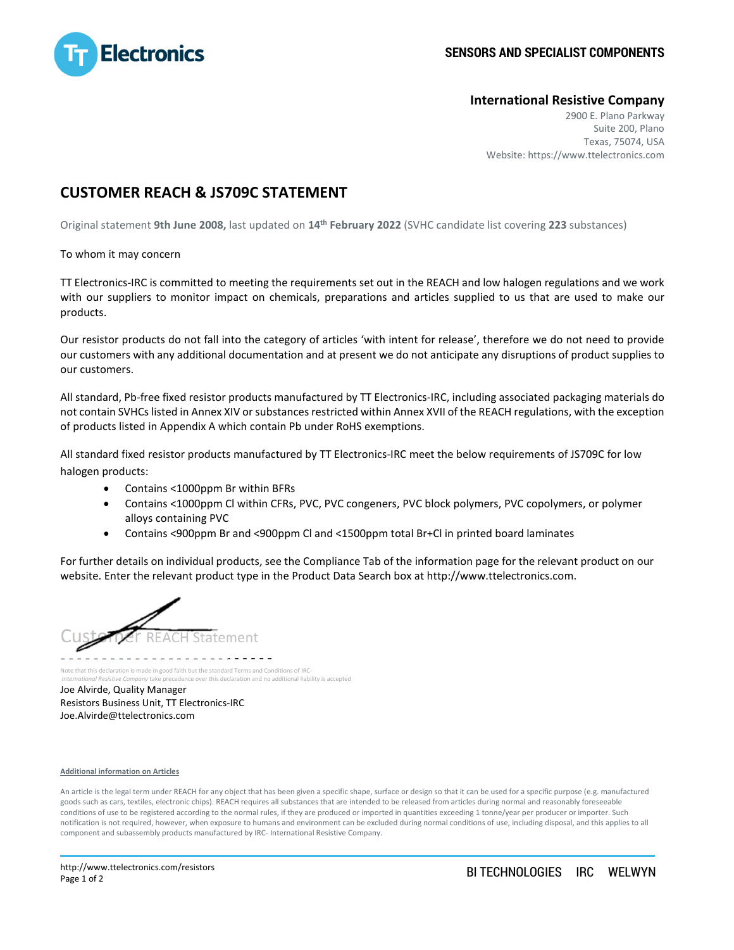

## **International Resistive Company**

2900 E. Plano Parkway Suite 200, Plano Texas, 75074, USA Website: https://www.ttelectronics.com

## **CUSTOMER REACH & JS709C STATEMENT**

Original statement **9th June 2008,** last updated on **14th February 2022** (SVHC candidate list covering **223** substances)

To whom it may concern

TT Electronics-IRC is committed to meeting the requirements set out in the REACH and low halogen regulations and we work with our suppliers to monitor impact on chemicals, preparations and articles supplied to us that are used to make our products.

Our resistor products do not fall into the category of articles 'with intent for release', therefore we do not need to provide our customers with any additional documentation and at present we do not anticipate any disruptions of product supplies to our customers.

All standard, Pb-free fixed resistor products manufactured by TT Electronics-IRC, including associated packaging materials do not contain SVHCs listed in Annex XIV or substances restricted within Annex XVII of the REACH regulations, with the exception of products listed in Appendix A which contain Pb under RoHS exemptions.

All standard fixed resistor products manufactured by TT Electronics-IRC meet the below requirements of JS709C for low halogen products:

- Contains <1000ppm Br within BFRs
- Contains <1000ppm Cl within CFRs, PVC, PVC congeners, PVC block polymers, PVC copolymers, or polymer alloys containing PVC
- Contains <900ppm Br and <900ppm Cl and <1500ppm total Br+Cl in printed board laminates

For further details on individual products, see the Compliance Tab of the information page for the relevant product on our website. Enter the relevant product type in the Product Data Search box at http://www.ttelectronics.com.



Note that this declaration is made in good faith but the standard Terms and Conditions of IRC-

 *International Resistive Company* take precedence over this declaration and no additional liability is accepted Joe Alvirde, Quality Manager Resistors Business Unit, TT Electronics-IRC Joe.Alvirde@ttelectronics.com

## **Additional information on Articles**

An article is the legal term under REACH for any object that has been given a specific shape, surface or design so that it can be used for a specific purpose (e.g. manufactured goods such as cars, textiles, electronic chips). REACH requires all substances that are intended to be released from articles during normal and reasonably foreseeable conditions of use to be registered according to the normal rules, if they are produced or imported in quantities exceeding 1 tonne/year per producer or importer. Such notification is not required, however, when exposure to humans and environment can be excluded during normal conditions of use, including disposal, and this applies to all component and subassembly products manufactured by IRC- International Resistive Company.